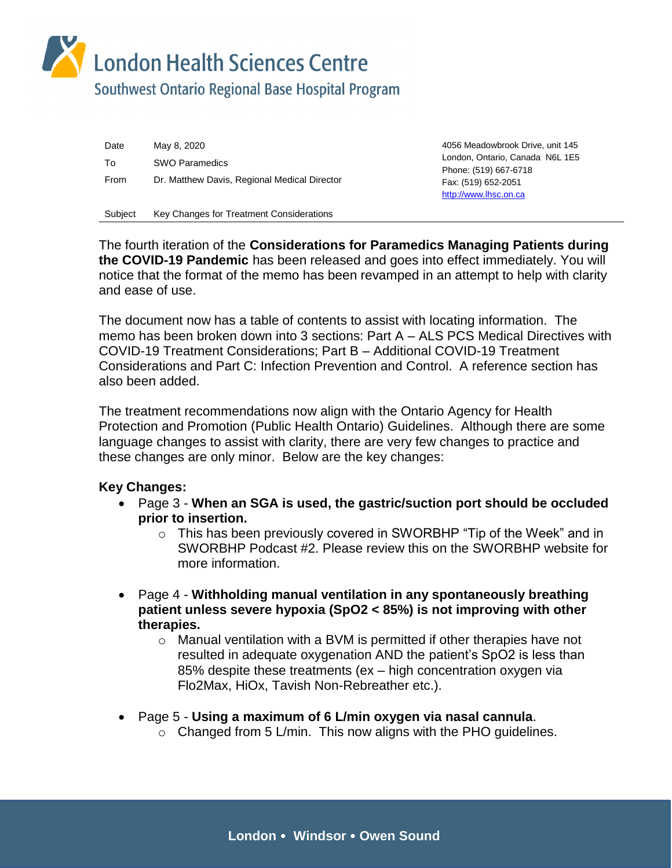London Health Sciences Centre

Southwest Ontario Regional Base Hospital Program

| Date        | May 8, 2020                                  | 4056 Meadowbrook Drive, unit 145<br>London, Ontario, Canada N6L 1E5<br>Phone: (519) 667-6718<br>Fax: (519) 652-2051<br>http://www.lhsc.on.ca |
|-------------|----------------------------------------------|----------------------------------------------------------------------------------------------------------------------------------------------|
| To          | <b>SWO Paramedics</b>                        |                                                                                                                                              |
| <b>From</b> | Dr. Matthew Davis, Regional Medical Director |                                                                                                                                              |
| Subject     | Key Changes for Treatment Considerations     |                                                                                                                                              |

The fourth iteration of the **Considerations for Paramedics Managing Patients during the COVID-19 Pandemic** has been released and goes into effect immediately. You will notice that the format of the memo has been revamped in an attempt to help with clarity and ease of use.

The document now has a table of contents to assist with locating information. The memo has been broken down into 3 sections: Part A – ALS PCS Medical Directives with COVID-19 Treatment Considerations; Part B – Additional COVID-19 Treatment Considerations and Part C: Infection Prevention and Control. A reference section has also been added.

The treatment recommendations now align with the Ontario Agency for Health Protection and Promotion (Public Health Ontario) Guidelines. Although there are some language changes to assist with clarity, there are very few changes to practice and these changes are only minor. Below are the key changes:

### **Key Changes:**

- Page 3 **When an SGA is used, the gastric/suction port should be occluded prior to insertion.** 
	- o This has been previously covered in SWORBHP "Tip of the Week" and in SWORBHP Podcast #2. Please review this on the SWORBHP website for more information.
- Page 4 **Withholding manual ventilation in any spontaneously breathing patient unless severe hypoxia (SpO2 < 85%) is not improving with other therapies.** 
	- $\circ$  Manual ventilation with a BVM is permitted if other therapies have not resulted in adequate oxygenation AND the patient's SpO2 is less than 85% despite these treatments (ex – high concentration oxygen via Flo2Max, HiOx, Tavish Non-Rebreather etc.).
- Page 5 **Using a maximum of 6 L/min oxygen via nasal cannula**.
	- $\circ$  Changed from 5 L/min. This now aligns with the PHO guidelines.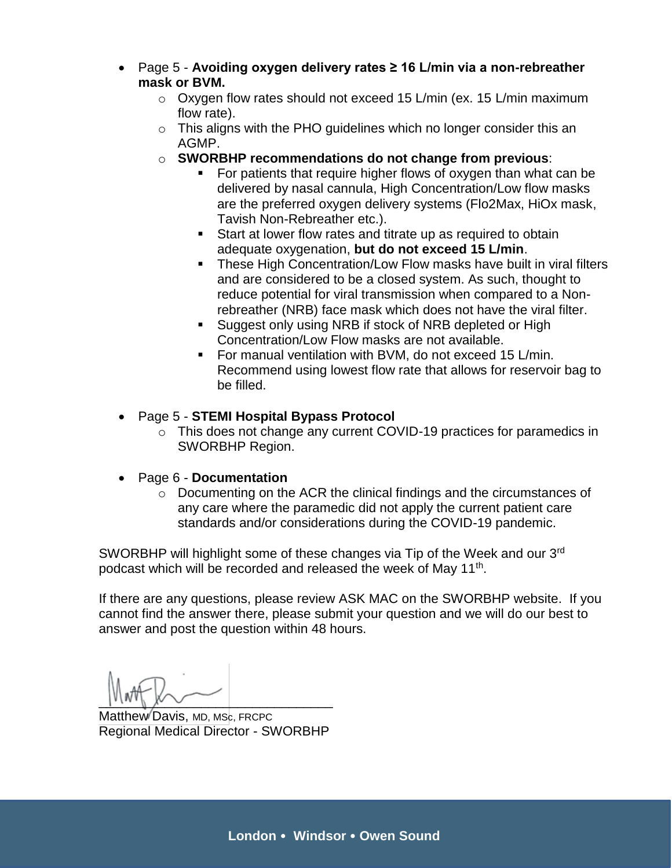- Page 5 **Avoiding oxygen delivery rates ≥ 16 L/min via a non-rebreather mask or BVM.**
	- $\circ$  Oxygen flow rates should not exceed 15 L/min (ex. 15 L/min maximum flow rate).
	- o This aligns with the PHO guidelines which no longer consider this an AGMP.
	- o **SWORBHP recommendations do not change from previous**:
		- For patients that require higher flows of oxygen than what can be delivered by nasal cannula, High Concentration/Low flow masks are the preferred oxygen delivery systems (Flo2Max, HiOx mask, Tavish Non-Rebreather etc.).
		- Start at lower flow rates and titrate up as required to obtain adequate oxygenation, **but do not exceed 15 L/min**.
		- These High Concentration/Low Flow masks have built in viral filters and are considered to be a closed system. As such, thought to reduce potential for viral transmission when compared to a Nonrebreather (NRB) face mask which does not have the viral filter.
		- **Suggest only using NRB if stock of NRB depleted or High** Concentration/Low Flow masks are not available.
		- For manual ventilation with BVM, do not exceed 15 L/min. Recommend using lowest flow rate that allows for reservoir bag to be filled.

## Page 5 - **STEMI Hospital Bypass Protocol**

- o This does not change any current COVID-19 practices for paramedics in SWORBHP Region.
- Page 6 **Documentation**
	- o Documenting on the ACR the clinical findings and the circumstances of any care where the paramedic did not apply the current patient care standards and/or considerations during the COVID-19 pandemic.

SWORBHP will highlight some of these changes via Tip of the Week and our 3<sup>rd</sup> podcast which will be recorded and released the week of May 11<sup>th</sup>.

If there are any questions, please review ASK MAC on the SWORBHP website. If you cannot find the answer there, please submit your question and we will do our best to answer and post the question within 48 hours.

 $|V|W|$   $|V|V$ 

Matthew Davis, MD, MSc, FRCPC Regional Medical Director - SWORBHP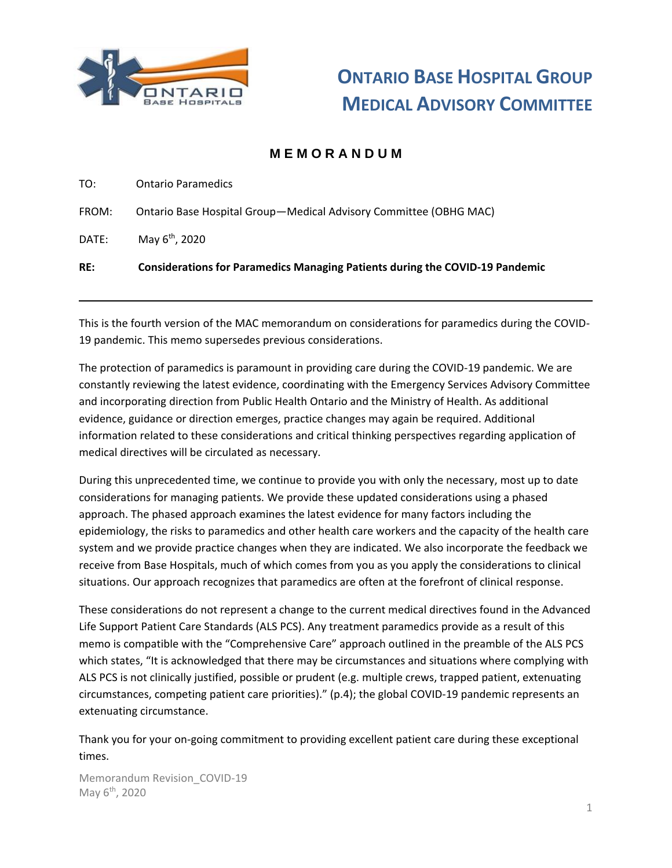

## **M E M O R A N D U M**

TO: Ontario Paramedics

FROM: Ontario Base Hospital Group—Medical Advisory Committee (OBHG MAC)

DATE: May 6<sup>th</sup>, 2020

#### **RE: Considerations for Paramedics Managing Patients during the COVID-19 Pandemic**

This is the fourth version of the MAC memorandum on considerations for paramedics during the COVID-19 pandemic. This memo supersedes previous considerations.

The protection of paramedics is paramount in providing care during the COVID-19 pandemic. We are constantly reviewing the latest evidence, coordinating with the Emergency Services Advisory Committee and incorporating direction from Public Health Ontario and the Ministry of Health. As additional evidence, guidance or direction emerges, practice changes may again be required. Additional information related to these considerations and critical thinking perspectives regarding application of medical directives will be circulated as necessary.

During this unprecedented time, we continue to provide you with only the necessary, most up to date considerations for managing patients. We provide these updated considerations using a phased approach. The phased approach examines the latest evidence for many factors including the epidemiology, the risks to paramedics and other health care workers and the capacity of the health care system and we provide practice changes when they are indicated. We also incorporate the feedback we receive from Base Hospitals, much of which comes from you as you apply the considerations to clinical situations. Our approach recognizes that paramedics are often at the forefront of clinical response.

These considerations do not represent a change to the current medical directives found in the Advanced Life Support Patient Care Standards (ALS PCS). Any treatment paramedics provide as a result of this memo is compatible with the "Comprehensive Care" approach outlined in the preamble of the ALS PCS which states, "It is acknowledged that there may be circumstances and situations where complying with ALS PCS is not clinically justified, possible or prudent (e.g. multiple crews, trapped patient, extenuating circumstances, competing patient care priorities)." (p.4); the global COVID-19 pandemic represents an extenuating circumstance.

Thank you for your on-going commitment to providing excellent patient care during these exceptional times.

Memorandum Revision\_COVID-19 May 6<sup>th</sup>, 2020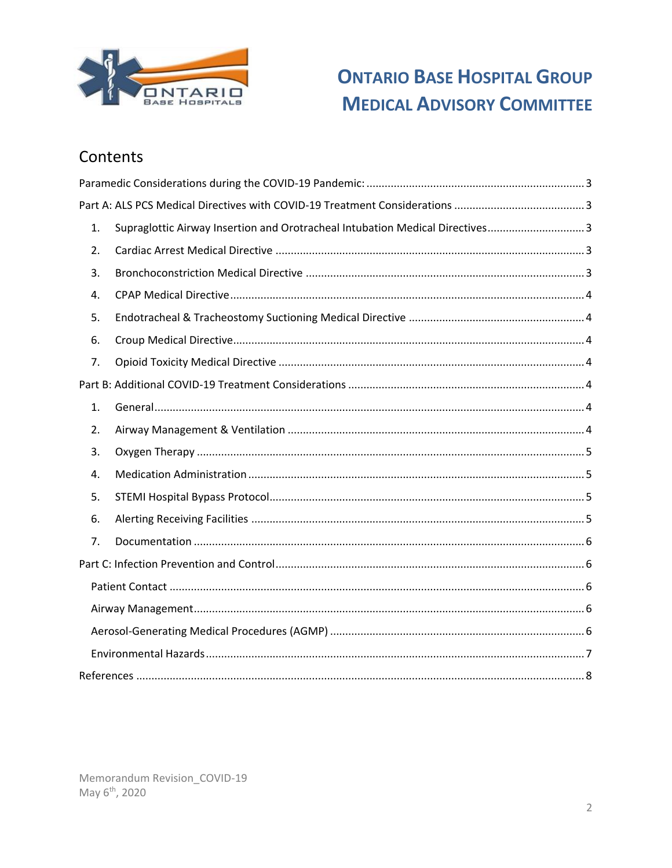

# Contents

| 1. | Supraglottic Airway Insertion and Orotracheal Intubation Medical Directives3 |
|----|------------------------------------------------------------------------------|
| 2. |                                                                              |
| 3. |                                                                              |
| 4. |                                                                              |
| 5. |                                                                              |
| 6. |                                                                              |
| 7. |                                                                              |
|    |                                                                              |
| 1. |                                                                              |
| 2. |                                                                              |
| 3. |                                                                              |
| 4. |                                                                              |
| 5. |                                                                              |
| 6. |                                                                              |
| 7. |                                                                              |
|    |                                                                              |
|    |                                                                              |
|    |                                                                              |
|    |                                                                              |
|    |                                                                              |
|    |                                                                              |

Memorandum Revision\_COVID-19 May 6<sup>th</sup>, 2020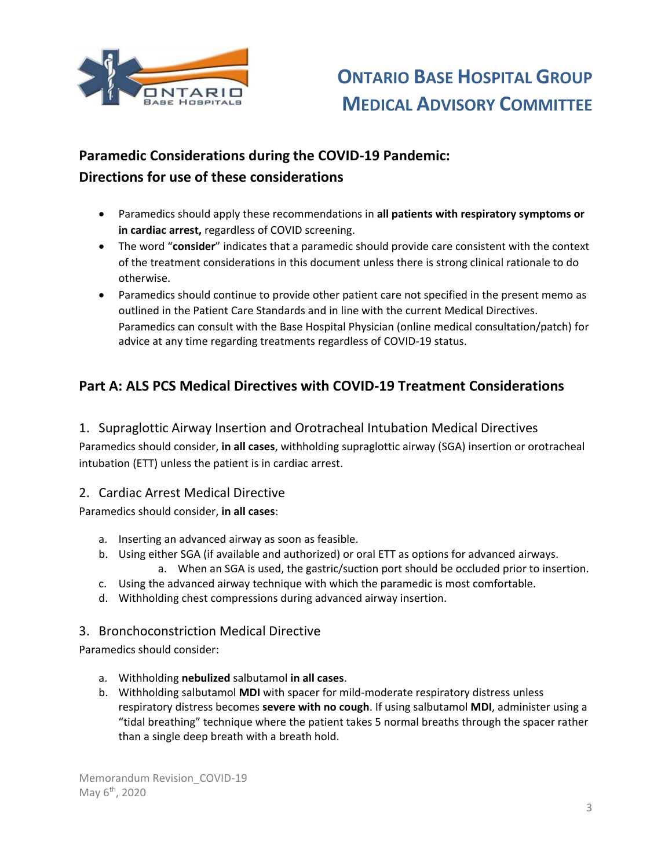

# <span id="page-4-0"></span>**Paramedic Considerations during the COVID-19 Pandemic: Directions for use of these considerations**

- Paramedics should apply these recommendations in **all patients with respiratory symptoms or in cardiac arrest,** regardless of COVID screening.
- The word "**consider**" indicates that a paramedic should provide care consistent with the context of the treatment considerations in this document unless there is strong clinical rationale to do otherwise.
- Paramedics should continue to provide other patient care not specified in the present memo as outlined in the Patient Care Standards and in line with the current Medical Directives. Paramedics can consult with the Base Hospital Physician (online medical consultation/patch) for advice at any time regarding treatments regardless of COVID-19 status.

## <span id="page-4-1"></span>**Part A: ALS PCS Medical Directives with COVID-19 Treatment Considerations**

## <span id="page-4-2"></span>1. Supraglottic Airway Insertion and Orotracheal Intubation Medical Directives Paramedics should consider, **in all cases**, withholding supraglottic airway (SGA) insertion or orotracheal

intubation (ETT) unless the patient is in cardiac arrest.

### <span id="page-4-3"></span>2. Cardiac Arrest Medical Directive

Paramedics should consider, **in all cases**:

- a. Inserting an advanced airway as soon as feasible.
- b. Using either SGA (if available and authorized) or oral ETT as options for advanced airways.
- a. When an SGA is used, the gastric/suction port should be occluded prior to insertion. c. Using the advanced airway technique with which the paramedic is most comfortable.
- d. Withholding chest compressions during advanced airway insertion.

### <span id="page-4-4"></span>3. Bronchoconstriction Medical Directive

Paramedics should consider:

- a. Withholding **nebulized** salbutamol **in all cases**.
- b. Withholding salbutamol **MDI** with spacer for mild-moderate respiratory distress unless respiratory distress becomes **severe with no cough**. If using salbutamol **MDI**, administer using a "tidal breathing" technique where the patient takes 5 normal breaths through the spacer rather than a single deep breath with a breath hold.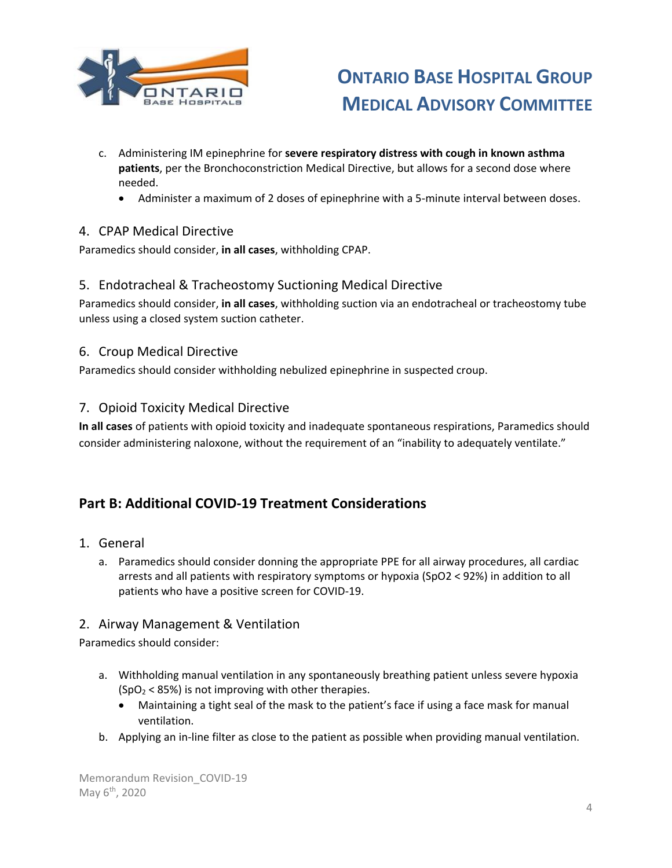

- c. Administering IM epinephrine for **severe respiratory distress with cough in known asthma patients**, per the Bronchoconstriction Medical Directive, but allows for a second dose where needed.
	- Administer a maximum of 2 doses of epinephrine with a 5-minute interval between doses.

### <span id="page-5-0"></span>4. CPAP Medical Directive

Paramedics should consider, **in all cases**, withholding CPAP.

### <span id="page-5-1"></span>5. Endotracheal & Tracheostomy Suctioning Medical Directive

Paramedics should consider, **in all cases**, withholding suction via an endotracheal or tracheostomy tube unless using a closed system suction catheter.

### <span id="page-5-2"></span>6. Croup Medical Directive

Paramedics should consider withholding nebulized epinephrine in suspected croup.

### <span id="page-5-3"></span>7. Opioid Toxicity Medical Directive

**In all cases** of patients with opioid toxicity and inadequate spontaneous respirations, Paramedics should consider administering naloxone, without the requirement of an "inability to adequately ventilate."

### <span id="page-5-4"></span>**Part B: Additional COVID-19 Treatment Considerations**

- <span id="page-5-5"></span>1. General
	- a. Paramedics should consider donning the appropriate PPE for all airway procedures, all cardiac arrests and all patients with respiratory symptoms or hypoxia (SpO2 < 92%) in addition to all patients who have a positive screen for COVID-19.

### <span id="page-5-6"></span>2. Airway Management & Ventilation

Paramedics should consider:

- a. Withholding manual ventilation in any spontaneously breathing patient unless severe hypoxia  $(SpO<sub>2</sub> < 85%)$  is not improving with other therapies.
	- Maintaining a tight seal of the mask to the patient's face if using a face mask for manual ventilation.
- b. Applying an in-line filter as close to the patient as possible when providing manual ventilation.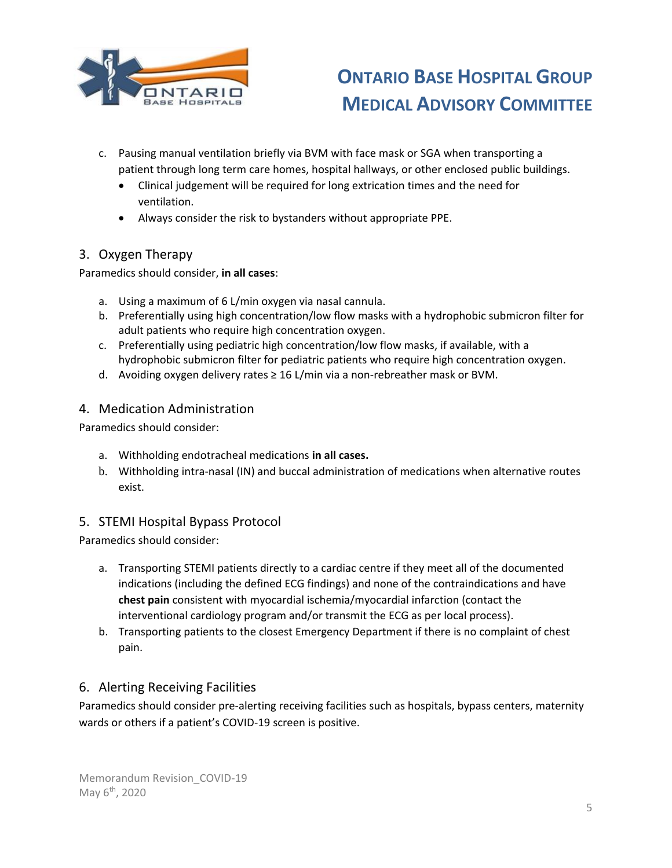

- c. Pausing manual ventilation briefly via BVM with face mask or SGA when transporting a patient through long term care homes, hospital hallways, or other enclosed public buildings.
	- Clinical judgement will be required for long extrication times and the need for ventilation.
	- Always consider the risk to bystanders without appropriate PPE.

### <span id="page-6-0"></span>3. Oxygen Therapy

Paramedics should consider, **in all cases**:

- a. Using a maximum of 6 L/min oxygen via nasal cannula.
- b. Preferentially using high concentration/low flow masks with a hydrophobic submicron filter for adult patients who require high concentration oxygen.
- c. Preferentially using pediatric high concentration/low flow masks, if available, with a hydrophobic submicron filter for pediatric patients who require high concentration oxygen.
- d. Avoiding oxygen delivery rates  $\geq 16$  L/min via a non-rebreather mask or BVM.

### <span id="page-6-1"></span>4. Medication Administration

Paramedics should consider:

- a. Withholding endotracheal medications **in all cases.**
- b. Withholding intra-nasal (IN) and buccal administration of medications when alternative routes exist.

### <span id="page-6-2"></span>5. STEMI Hospital Bypass Protocol

Paramedics should consider:

- a. Transporting STEMI patients directly to a cardiac centre if they meet all of the documented indications (including the defined ECG findings) and none of the contraindications and have **chest pain** consistent with myocardial ischemia/myocardial infarction (contact the interventional cardiology program and/or transmit the ECG as per local process).
- b. Transporting patients to the closest Emergency Department if there is no complaint of chest pain.

### <span id="page-6-3"></span>6. Alerting Receiving Facilities

Paramedics should consider pre-alerting receiving facilities such as hospitals, bypass centers, maternity wards or others if a patient's COVID-19 screen is positive.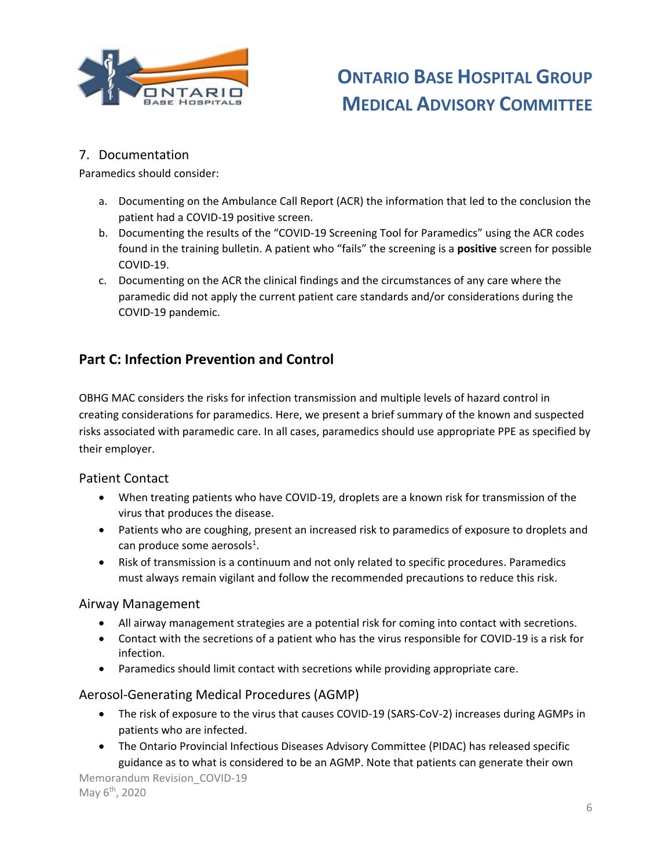

### <span id="page-7-0"></span>7. Documentation

Paramedics should consider:

- a. Documenting on the Ambulance Call Report (ACR) the information that led to the conclusion the patient had a COVID-19 positive screen.
- b. Documenting the results of the "COVID-19 Screening Tool for Paramedics" using the ACR codes found in the training bulletin. A patient who "fails" the screening is a **positive** screen for possible COVID-19.
- c. Documenting on the ACR the clinical findings and the circumstances of any care where the paramedic did not apply the current patient care standards and/or considerations during the COVID-19 pandemic.

## <span id="page-7-1"></span>**Part C: Infection Prevention and Control**

OBHG MAC considers the risks for infection transmission and multiple levels of hazard control in creating considerations for paramedics. Here, we present a brief summary of the known and suspected risks associated with paramedic care. In all cases, paramedics should use appropriate PPE as specified by their employer.

#### <span id="page-7-2"></span>Patient Contact

- When treating patients who have COVID-19, droplets are a known risk for transmission of the virus that produces the disease.
- Patients who are coughing, present an increased risk to paramedics of exposure to droplets and can produce some aerosols<sup>1</sup>.
- Risk of transmission is a continuum and not only related to specific procedures. Paramedics must always remain vigilant and follow the recommended precautions to reduce this risk.

#### <span id="page-7-3"></span>Airway Management

- All airway management strategies are a potential risk for coming into contact with secretions.
- Contact with the secretions of a patient who has the virus responsible for COVID-19 is a risk for infection.
- Paramedics should limit contact with secretions while providing appropriate care.

#### <span id="page-7-4"></span>Aerosol-Generating Medical Procedures (AGMP)

- The risk of exposure to the virus that causes COVID-19 (SARS-CoV-2) increases during AGMPs in patients who are infected.
- The Ontario Provincial Infectious Diseases Advisory Committee (PIDAC) has released specific guidance as to what is considered to be an AGMP. Note that patients can generate their own

Memorandum Revision\_COVID-19 May 6<sup>th</sup>, 2020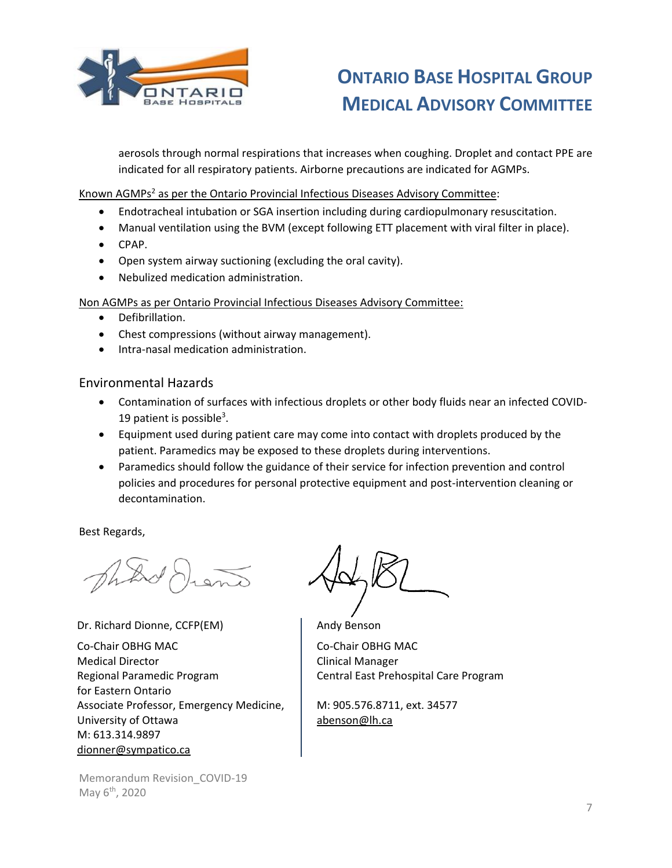

aerosols through normal respirations that increases when coughing. Droplet and contact PPE are indicated for all respiratory patients. Airborne precautions are indicated for AGMPs.

Known AGMPs<sup>2</sup> as per the Ontario Provincial Infectious Diseases Advisory Committee:

- Endotracheal intubation or SGA insertion including during cardiopulmonary resuscitation.
- Manual ventilation using the BVM (except following ETT placement with viral filter in place).
- CPAP.
- Open system airway suctioning (excluding the oral cavity).
- Nebulized medication administration.

Non AGMPs as per Ontario Provincial Infectious Diseases Advisory Committee:

- Defibrillation.
- Chest compressions (without airway management).
- **•** Intra-nasal medication administration.

#### <span id="page-8-0"></span>Environmental Hazards

- Contamination of surfaces with infectious droplets or other body fluids near an infected COVID-19 patient is possible<sup>3</sup>.
- Equipment used during patient care may come into contact with droplets produced by the patient. Paramedics may be exposed to these droplets during interventions.
- Paramedics should follow the guidance of their service for infection prevention and control policies and procedures for personal protective equipment and post-intervention cleaning or decontamination.

Best Regards,

Dr. Richard Dionne, CCFP(EM)

Co-Chair OBHG MAC Medical Director Regional Paramedic Program for Eastern Ontario Associate Professor, Emergency Medicine, University of Ottawa M: 613.314.9897 [dionner@sympatico.ca](mailto:dionner@sympatico.ca)

Memorandum Revision\_COVID-19 May 6<sup>th</sup>, 2020

Andy Benson

Co-Chair OBHG MAC Clinical Manager Central East Prehospital Care Program

M: 905.576.8711, ext. 34577 abenson@lh.ca